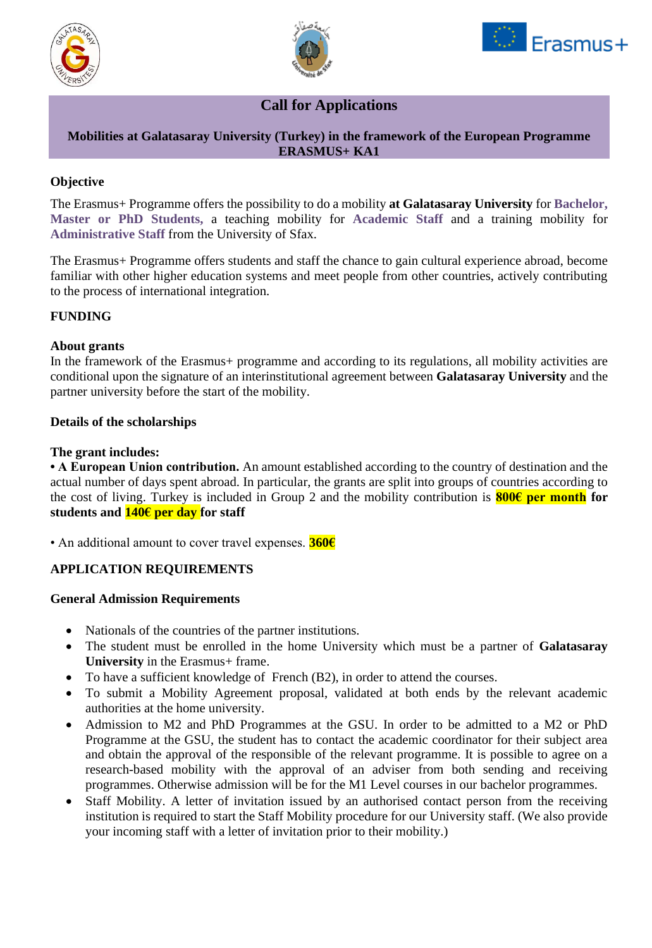





# **Call for Applications**

# **Mobilities at Galatasaray University (Turkey) in the framework of the European Programme ERASMUS+ KA1**

# **Objective**

The Erasmus+ Programme offers the possibility to do a mobility **at Galatasaray University** for **Bachelor, Master or PhD Students,** a teaching mobility for **Academic Staff** and a training mobility for **Administrative Staff** from the University of Sfax.

The Erasmus+ Programme offers students and staff the chance to gain cultural experience abroad, become familiar with other higher education systems and meet people from other countries, actively contributing to the process of international integration.

# **FUNDING**

## **About grants**

In the framework of the Erasmus+ programme and according to its regulations, all mobility activities are conditional upon the signature of an interinstitutional agreement between **Galatasaray University** and the partner university before the start of the mobility.

## **Details of the scholarships**

#### **The grant includes:**

**• A European Union contribution.** An amount established according to the country of destination and the actual number of days spent abroad. In particular, the grants are split into groups of countries according to the cost of living. Turkey is included in Group 2 and the mobility contribution is **800€ per month for students and 140€ per day for staff**

• An additional amount to cover travel expenses. **360€**

# **APPLICATION REQUIREMENTS**

#### **General Admission Requirements**

- Nationals of the countries of the partner institutions.
- The student must be enrolled in the home University which must be a partner of **Galatasaray University** in the Erasmus+ frame.
- To have a sufficient knowledge of French (B2), in order to attend the courses.
- To submit a Mobility Agreement proposal, validated at both ends by the relevant academic authorities at the home university.
- Admission to M2 and PhD Programmes at the GSU. In order to be admitted to a M2 or PhD Programme at the GSU, the student has to contact the academic coordinator for their subject area and obtain the approval of the responsible of the relevant programme. It is possible to agree on a research-based mobility with the approval of an adviser from both sending and receiving programmes. Otherwise admission will be for the M1 Level courses in our bachelor programmes.
- Staff Mobility. A letter of invitation issued by an authorised contact person from the receiving institution is required to start the Staff Mobility procedure for our University staff. (We also provide your incoming staff with a letter of invitation prior to their mobility.)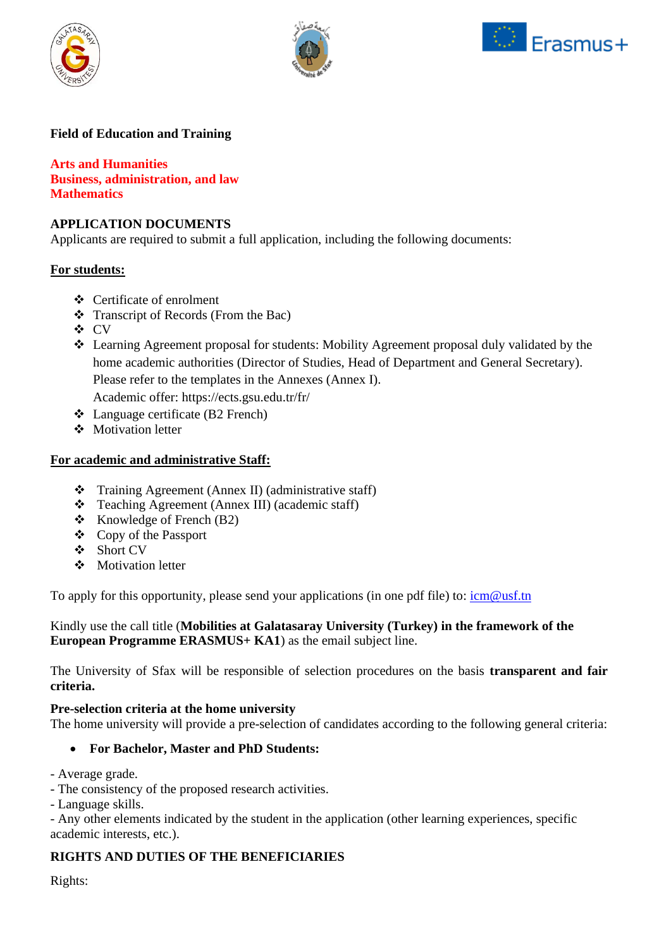





# **Field of Education and Training**

**Arts and Humanities Business, administration, and law Mathematics**

## **APPLICATION DOCUMENTS**

Applicants are required to submit a full application, including the following documents:

## **For students:**

- ❖ Certificate of enrolment
- ❖ Transcript of Records (From the Bac)
- ❖ CV
- ❖ Learning Agreement proposal for students: Mobility Agreement proposal duly validated by the home academic authorities (Director of Studies, Head of Department and General Secretary). Please refer to the templates in the Annexes (Annex I).

Academic offer: https://ects.gsu.edu.tr/fr/

- ❖ Language certificate (B2 French)
- ❖ Motivation letter

## **For academic and administrative Staff:**

- ❖ Training Agreement (Annex II) (administrative staff)
- ❖ Teaching Agreement (Annex III) (academic staff)
- ❖ Knowledge of French (B2)
- ❖ Copy of the Passport
- ❖ Short CV
- ❖ Motivation letter

To apply for this opportunity, please send your applications (in one pdf file) to:  $\frac{\text{icm@ust} \cdot \text{cm}}{\text{mcm@ust}}$ 

Kindly use the call title (**Mobilities at Galatasaray University (Turkey) in the framework of the European Programme ERASMUS+ KA1**) as the email subject line.

The University of Sfax will be responsible of selection procedures on the basis **transparent and fair criteria.**

#### **Pre-selection criteria at the home university**

The home university will provide a pre-selection of candidates according to the following general criteria:

# • **For Bachelor, Master and PhD Students:**

- Average grade.

- The consistency of the proposed research activities.

- Language skills.

- Any other elements indicated by the student in the application (other learning experiences, specific academic interests, etc.).

# **RIGHTS AND DUTIES OF THE BENEFICIARIES**

Rights: